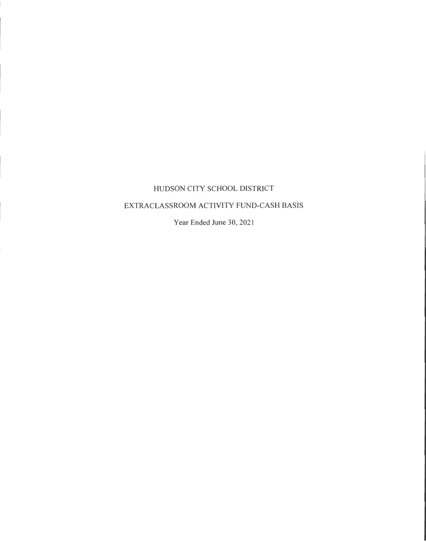### HUDSON CITY SCHOOL DISTRICT

### EXTRACLASSROOM ACTIVITY FUND-CASH BASIS

Year Ended June 30, 2021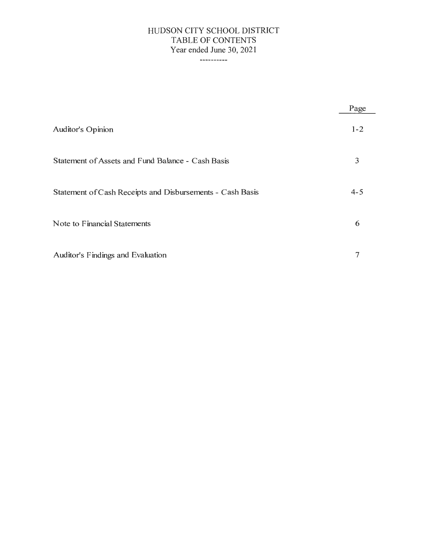# HUDSON CITY SCHOOL DISTRICT TABLE OF CONTENTS Year ended June 30, 2021

|                                                           | Page    |
|-----------------------------------------------------------|---------|
| Auditor's Opinion                                         | $1 - 2$ |
| Statement of Assets and Fund Balance - Cash Basis         | 3       |
| Statement of Cash Receipts and Disbursements - Cash Basis | $4 - 5$ |
| Note to Financial Statements                              | 6       |
| Auditor's Findings and Evaluation                         | 7       |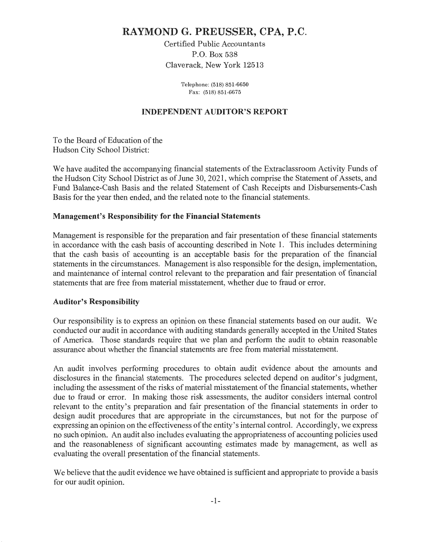# **RAYMOND G. PREUSSER, CPA, P.C.**

Certified Public Accountants P.O. Box 538 Claverack, New York 12513

> Telephone: (518) 851-6650 Fax: (518) 851-6675

#### **INDEPENDENT AUDITOR'S REPORT**

To the Board of Education of the Hudson City School District:

We have audited the accompanying financial statements of the Extraclassroom Activity Funds of the Hudson City School District as of June 30, 2021, which comprise the Statement of Assets, and Fund Balance-Cash Basis and the related Statement of Cash Receipts and Disbursements-Cash Basis for the year then ended, and the related note to the financial statements.

#### **Management's Responsibility for the Financial Statements**

Management is responsible for the preparation and fair presentation of these financial statements in accordance with the cash basis of accounting described in Note 1. This includes determining that the cash basis of accounting is an acceptable basis for the preparation of the financial statements in the circumstances. Management is also responsible for the design, implementation, and maintenance of internal control relevant to the preparation and fair presentation of financial statements that are free from material misstatement, whether due to fraud or error.

#### **Auditor's Responsibility**

Our responsibility is to express an opinion on these financial statements based on our audit. We conducted our audit in accordance with auditing standards generally accepted in the United States of America. Those standards require that we plan and perform the audit to obtain reasonable assurance about whether the financial statements are free from material misstatement.

An audit involves performing procedures to obtain audit evidence about the amounts and disclosures in the financial statements. The procedures selected depend on auditor's judgment, including the assessment of the risks of material misstatement of the financial statements, whether due to fraud or error. In making those risk assessments, the auditor considers internal control relevant to the entity's preparation and fair presentation of the financial statements in order to design audit procedures that are appropriate in the circumstances, but not for the purpose of expressing an opinion on the effectiveness of the entity's internal control. Accordingly, we express no such opinion. An audit also includes evaluating the appropriateness of accounting policies used and the reasonableness of significant accounting estimates made by management, as well as evaluating the overall presentation of the financial statements.

We believe that the audit evidence we have obtained is sufficient and appropriate to provide a basis for our audit opinion.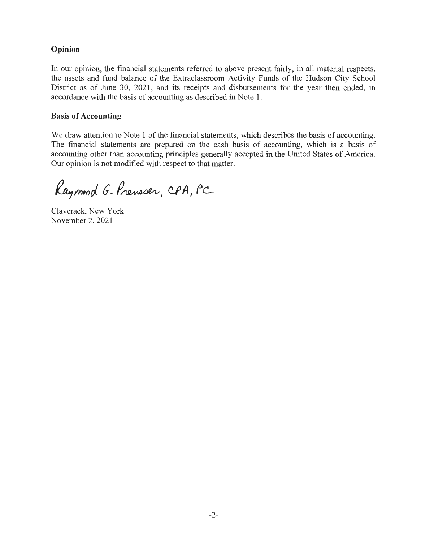### **Opinion**

In our opinion, the financial statements referred to above present fairly, in all material respects, the assets and fund balance of the Extraclassroom Activity Funds of the Hudson City School District as of June 30, 2021, and its receipts and disbursements for the year then ended, in accordance with the basis of accounting as described in Note 1.

#### **Basis of Accounting**

We draw attention to Note 1 of the financial statements, which describes the basis of accounting. The financial statements are prepared on the cash basis of accounting, which is a basis of accounting other than accounting principles generally accepted in the United States of America. Our opinion is not modified with respect to that matter.

Raymond G. Prenoser, CPA, PC

Claverack, New York November 2, 2021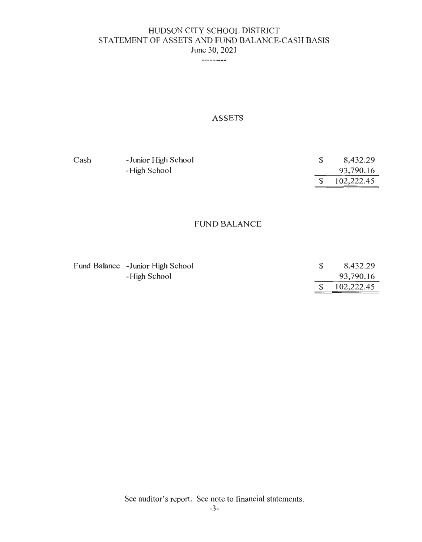### HUDSON CITY SCHOOL DISTRICT STATEMENT OF ASSETS AND FUND BALANCE-CASH BASIS June 30, 2021

---------

### ASSETS

| Cash | - Junior High School | 8,432.29     |
|------|----------------------|--------------|
|      | -High School         | 93,790.16    |
|      |                      | \$102,222.45 |

#### FUND BALANCE

| Fund Balance - Junior High School | 8,432.29     |
|-----------------------------------|--------------|
| -High School                      | 93,790.16    |
|                                   | \$102,222.45 |

See auditor's report. See note to financial statements.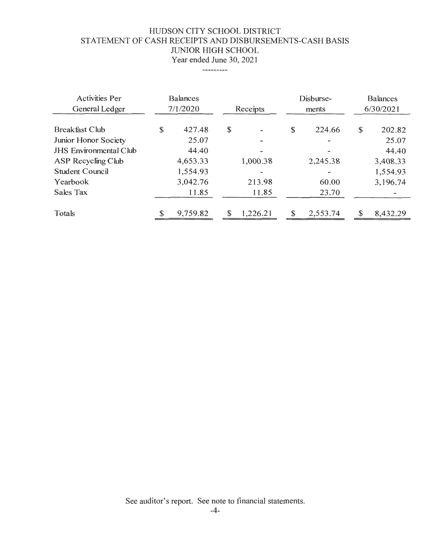# HUDSON CITY SCHOOL DISTRICT STATEMENT OF CASH RECEIPTS AND DISBURSEMENTS-CASH BASIS JUNIOR HIGH SCHOOL

Year ended June 30, 2021

| <b>Activities Per</b><br>General Ledger |    | <b>Balances</b><br>7/1/2020 | Receipts      |          |              | Disburse-<br>ments |    | <b>Balances</b><br>6/30/2021 |  |
|-----------------------------------------|----|-----------------------------|---------------|----------|--------------|--------------------|----|------------------------------|--|
| <b>Breakfast Club</b>                   | \$ | 427.48                      | $\mathbb{S}$  |          | \$           | 224.66             | \$ | 202.82                       |  |
| Junior Honor Society                    |    | 25.07                       |               |          |              |                    |    | 25.07                        |  |
| <b>JHS</b> Environmental Club           |    | 44.40                       |               |          |              |                    |    | 44.40                        |  |
| ASP Recycling Club                      |    | 4,653.33                    |               | 1,000.38 |              | 2,245.38           |    | 3,408.33                     |  |
| <b>Student Council</b>                  |    | 1,554.93                    |               |          |              |                    |    | 1,554.93                     |  |
| Yearbook                                |    | 3,042.76                    |               | 213.98   |              | 60.00              |    | 3,196.74                     |  |
| Sales Tax                               |    | 11.85                       |               | 11.85    |              | 23.70              |    |                              |  |
| Totals                                  | S  | 9,759.82                    | <sup>\$</sup> | 1,226.21 | $\mathbb{S}$ | 2,553.74           | \$ | 8,432.29                     |  |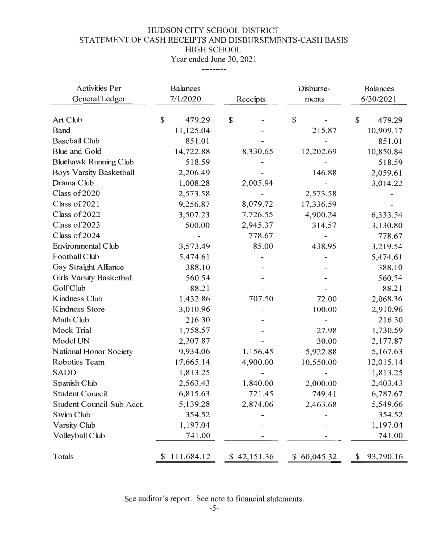#### HUDSON CITY SCHOOL DISTRICT STATEMENT OF CASH RECEIPTS AND DISBURSEMENTS-CASH BASIS HIGH SCHOOL Year ended June 30, 2021

---------

| <b>Activities Per</b><br>General Ledger | <b>Balances</b><br>7/1/2020 | Receipts    | Disburse-<br>ments | <b>Balances</b><br>6/30/2021 |  |
|-----------------------------------------|-----------------------------|-------------|--------------------|------------------------------|--|
| Art Club                                | \$<br>479.29                | \$          | \$                 | \$<br>479.29                 |  |
| <b>Band</b>                             | 11,125.04                   |             | 215.87             | 10,909.17                    |  |
| <b>Baseball Club</b>                    | 851.01                      |             |                    | 851.01                       |  |
| <b>Blue and Gold</b>                    | 14,722.88                   | 8,330.65    | 12,202.69          | 10,850.84                    |  |
| <b>Bluehawk Running Club</b>            | 518.59                      |             |                    | 518.59                       |  |
| <b>Boys Varsity Basketball</b>          | 2,206.49                    |             | 146.88             | 2,059.61                     |  |
| Drama Club                              | 1,008.28                    | 2,005.94    |                    | 3,014.22                     |  |
| Class of 2020                           | 2,573.58                    |             | 2,573.58           |                              |  |
| Class of 2021                           | 9,256.87                    | 8,079.72    | 17,336.59          |                              |  |
| Class of 2022                           | 3,507.23                    | 7,726.55    | 4,900.24           | 6,333.54                     |  |
| Class of 2023                           | 500.00                      | 2,945.37    | 314.57             | 3,130.80                     |  |
| Class of 2024                           |                             | 778.67      |                    | 778.67                       |  |
| Environmental Club                      | 3,573.49                    | 85.00       | 438.95             | 3,219.54                     |  |
| Football Club                           | 5,474.61                    |             |                    | 5,474.61                     |  |
| <b>Gay Straight Alliance</b>            | 388.10                      |             |                    | 388.10                       |  |
| Girls Varsity Basketball                | 560.54                      |             |                    | 560.54                       |  |
| Golf Club                               | 88.21                       |             |                    | 88.21                        |  |
| Kindness Club                           | 1,432.86                    | 707.50      | 72.00              | 2,068.36                     |  |
| <b>Kindness Store</b>                   | 3,010.96                    |             | 100.00             | 2,910.96                     |  |
| Math Club                               | 216.30                      |             |                    | 216.30                       |  |
| Mock Trial                              | 1,758.57                    |             | 27.98              | 1,730.59                     |  |
| Model UN                                | 2,207.87                    |             | 30.00              | 2,177.87                     |  |
| National Honor Society                  | 9,934.06                    | 1,156.45    | 5,922.88           | 5,167.63                     |  |
| Robotics Team                           | 17,665.14                   | 4,900.00    | 10,550.00          | 12,015.14                    |  |
| <b>SADD</b>                             | 1,813.25                    |             |                    | 1,813.25                     |  |
| Spanish Club                            | 2,563.43                    | 1,840.00    | 2,000.00           | 2,403.43                     |  |
| <b>Student Council</b>                  | 6,815.63                    | 721.45      | 749.41             | 6,787.67                     |  |
| Student Council-Sub Acct.               | 5,139.28                    | 2,874.06    | 2,463.68           | 5,549.66                     |  |
| Swim Club                               | 354.52                      |             |                    | 354.52                       |  |
| Varsity Club                            | 1,197.04                    |             |                    | 1,197.04                     |  |
| Volleyball Club                         | 741.00                      |             |                    | 741.00                       |  |
| Totals                                  | \$111,684.12                | \$42,151.36 | \$60,045.32        | 93,790.16<br>\$              |  |

See auditor's report. See note to financial statements.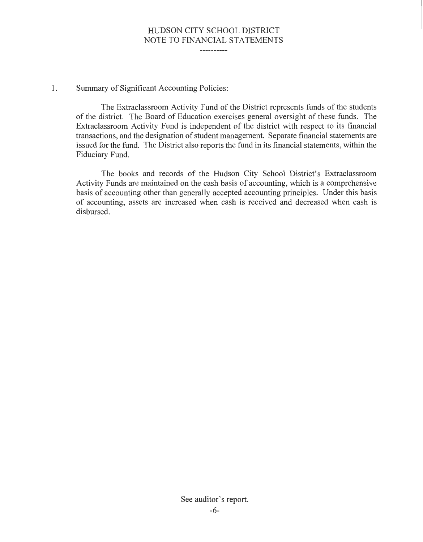#### HUDSON CITY SCHOOL DISTRICT NOTE TO FINANCIAL STATEMENTS -----------

#### 1. Summary of Significant Accounting Policies:

The Extraclassroom Activity Fund of the District represents funds of the students of the district. The Board of Education exercises general oversight of these funds. The Extraclassroom Activity Fund is independent of the district with respect to its financial transactions, and the designation of student management. Separate financial statements are issued for the fund. The District also reports the fund in its financial statements, within the Fiduciary Fund.

The books and records of the Hudson City School District's Extraclassroom Activity Funds are maintained on the cash basis of accounting, which is a comprehensive basis of accounting other than generally accepted accounting principles. Under this basis of accounting, assets are increased when cash is received and decreased when cash is disbursed.